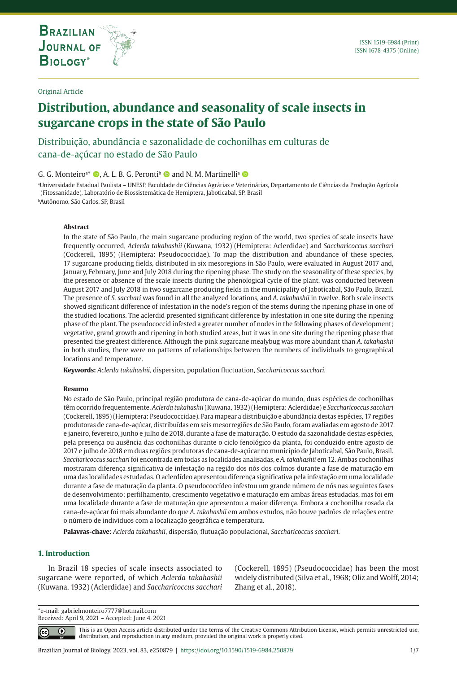**THE INTERNATIONAL JOURNAL ON GLOBAL BIODIVERSITY AND ENVIRONMENT**

### Original Article

# **Distribution, abundance and seasonality of scale insects in sugarcane crops in the state of São Paulo**

Distribuição, abundância e sazonalidade de cochonilhas em culturas de cana-de-açúcar no estado de São Paulo

# G. G. Monteiro<sup>a\*</sup> ©, A. L. B. G. Peronti<sup>b</sup> © and N. M. Martinelli<sup>a</sup> ©

a Universidade Estadual Paulista – UNESP, Faculdade de Ciências Agrárias e Veterinárias, Departamento de Ciências da Produção Agrícola (Fitossanidade), Laboratório de Biossistemática de Hemiptera, Jaboticabal, SP, Brasil

bAutônomo, São Carlos, SP, Brasil

### **Abstract**

In the state of São Paulo, the main sugarcane producing region of the world, two species of scale insects have frequently occurred, *Aclerda takahashii* (Kuwana, 1932) (Hemiptera: Aclerdidae) and *Saccharicoccus sacchari* (Cockerell, 1895) (Hemiptera: Pseudococcidae). To map the distribution and abundance of these species, 17 sugarcane producing fields, distributed in six mesoregions in São Paulo, were evaluated in August 2017 and, January, February, June and July 2018 during the ripening phase. The study on the seasonality of these species, by the presence or absence of the scale insects during the phenological cycle of the plant, was conducted between August 2017 and July 2018 in two sugarcane producing fields in the municipality of Jaboticabal, São Paulo, Brazil. The presence of *S. sacchari* was found in all the analyzed locations, and *A. takahashii* in twelve. Both scale insects showed significant difference of infestation in the node's region of the stems during the ripening phase in one of the studied locations. The aclerdid presented significant difference by infestation in one site during the ripening phase of the plant. The pseudococcid infested a greater number of nodes in the following phases of development; vegetative, grand growth and ripening in both studied areas, but it was in one site during the ripening phase that presented the greatest difference. Although the pink sugarcane mealybug was more abundant than *A. takahashii* in both studies, there were no patterns of relationships between the numbers of individuals to geographical locations and temperature.

**Keywords:** *Aclerda takahashii*, dispersion, population fluctuation, *Saccharicoccus sacchari*.

#### **Resumo**

No estado de São Paulo, principal região produtora de cana-de-açúcar do mundo, duas espécies de cochonilhas têm ocorrido frequentemente, *Aclerda takahashii* (Kuwana, 1932) (Hemiptera: Aclerdidae) e *Saccharicoccus sacchari* (Cockerell, 1895) (Hemiptera: Pseudococcidae). Para mapear a distribuição e abundância destas espécies, 17 regiões produtoras de cana-de-açúcar, distribuídas em seis mesorregiões de São Paulo, foram avaliadas em agosto de 2017 e janeiro, fevereiro, junho e julho de 2018, durante a fase de maturação. O estudo da sazonalidade destas espécies, pela presença ou ausência das cochonilhas durante o ciclo fenológico da planta, foi conduzido entre agosto de 2017 e julho de 2018 em duas regiões produtoras de cana-de-açúcar no município de Jaboticabal, São Paulo, Brasil. *Saccharicoccus sacchari* foi encontrada em todas as localidades analisadas, e *A. takahashii* em 12. Ambas cochonilhas mostraram diferença significativa de infestação na região dos nós dos colmos durante a fase de maturação em uma das localidades estudadas. O aclerdídeo apresentou diferença significativa pela infestação em uma localidade durante a fase de maturação da planta. O pseudococcídeo infestou um grande número de nós nas seguintes fases de desenvolvimento; perfilhamento, crescimento vegetativo e maturação em ambas áreas estudadas, mas foi em uma localidade durante a fase de maturação que apresentou a maior diferença. Embora a cochonilha rosada da cana-de-açúcar foi mais abundante do que *A. takahashii* em ambos estudos, não houve padrões de relações entre o número de indivíduos com a localização geográfica e temperatura.

**Palavras-chave:** *Aclerda takahashii*, dispersão, flutuação populacional, *Saccharicoccus sacchari*.

#### **1. Introduction**

In Brazil 18 species of scale insects associated to sugarcane were reported, of which *Aclerda takahashii* (Kuwana, 1932) (Aclerdidae) and *Saccharicoccus sacchari* (Cockerell, 1895) (Pseudococcidae) has been the most widely distributed (Silva et al., 1968; Oliz and Wolff, 2014; Zhang et al., 2018).

\*e-mail: gabrielmonteiro7777@hotmail.com Received: April 9, 2021 – Accepted: June 4, 2021

> This is an Open Access article distributed under the terms of the Creative Commons Attribution License, which permits unrestricted use, ⋒ distribution, and reproduction in any medium, provided the original work is properly cited.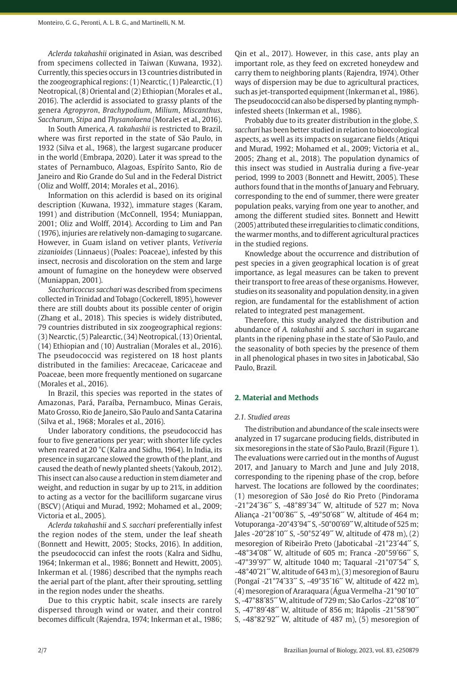*Aclerda takahashii* originated in Asian, was described from specimens collected in Taiwan (Kuwana, 1932). Currently, this species occurs in 13 countries distributed in the zoogeographical regions: (1) Nearctic, (1) Palearctic, (1) Neotropical, (8) Oriental and (2) Ethiopian (Morales et al., 2016). The aclerdid is associated to grassy plants of the genera *Agropyron*, *Brachypodium*, *Milium*, *Miscanthus*, *Saccharum*, *Stipa* and *Thysanolaena* (Morales et al., 2016).

In South America, *A. takahashii* is restricted to Brazil, where was first reported in the state of São Paulo, in 1932 (Silva et al., 1968), the largest sugarcane producer in the world (Embrapa, 2020). Later it was spread to the states of Pernambuco, Alagoas, Espírito Santo, Rio de Janeiro and Rio Grande do Sul and in the Federal District (Oliz and Wolff, 2014; Morales et al., 2016).

Information on this aclerdid is based on its original description (Kuwana, 1932), immature stages (Karam, 1991) and distribution (McConnell, 1954; Muniappan, 2001; Oliz and Wolff, 2014). According to Lim and Pan (1976), injuries are relatively non-damaging to sugarcane. However, in Guam island on vetiver plants, *Vetiveria zizanioides* (Linnaeus) (Poales: Poaceae), infested by this insect, necrosis and discoloration on the stem and large amount of fumagine on the honeydew were observed (Muniappan, 2001).

*Saccharicoccus sacchari* was described from specimens collected in Trinidad and Tobago (Cockerell, 1895), however there are still doubts about its possible center of origin (Zhang et al., 2018). This species is widely distributed, 79 countries distributed in six zoogeographical regions: (3) Nearctic, (5) Palearctic, (34) Neotropical, (13) Oriental, (14) Ethiopian and (10) Australian (Morales et al., 2016). The pseudococcid was registered on 18 host plants distributed in the families: Arecaceae, Caricaceae and Poaceae, been more frequently mentioned on sugarcane (Morales et al., 2016).

In Brazil, this species was reported in the states of Amazonas, Pará, Paraíba, Pernambuco, Minas Gerais, Mato Grosso, Rio de Janeiro, São Paulo and Santa Catarina (Silva et al., 1968; Morales et al., 2016).

Under laboratory conditions, the pseudococcid has four to five generations per year; with shorter life cycles when reared at 20 °C (Kalra and Sidhu, 1964). In India, its presence in sugarcane slowed the growth of the plant, and caused the death of newly planted sheets (Yakoub, 2012). This insect can also cause a reduction in stem diameter and weight, and reduction in sugar by up to 21%, in addition to acting as a vector for the bacilliform sugarcane virus (BSCV) (Atiqui and Murad, 1992; Mohamed et al., 2009; Victoria et al., 2005).

*Aclerda takahashii* and *S. sacchari* preferentially infest the region nodes of the stem, under the leaf sheath (Bonnett and Hewitt, 2005; Stocks, 2016). In addition, the pseudococcid can infest the roots (Kalra and Sidhu, 1964; Inkerman et al., 1986; Bonnett and Hewitt, 2005). Inkerman et al. (1986) described that the nymphs reach the aerial part of the plant, after their sprouting, settling in the region nodes under the sheaths.

Due to this cryptic habit, scale insects are rarely dispersed through wind or water, and their control becomes difficult (Rajendra, 1974; Inkerman et al., 1986;

Qin et al., 2017). However, in this case, ants play an important role, as they feed on excreted honeydew and carry them to neighboring plants (Rajendra, 1974). Other ways of dispersion may be due to agricultural practices, such as jet-transported equipment (Inkerman et al., 1986). The pseudococcid can also be dispersed by planting nymphinfested sheets (Inkerman et al., 1986).

Probably due to its greater distribution in the globe, *S. sacchari* has been better studied in relation to bioecological aspects, as well as its impacts on sugarcane fields (Atiqui and Murad, 1992; Mohamed et al., 2009; Victoria et al., 2005; Zhang et al., 2018). The population dynamics of this insect was studied in Australia during a five-year period, 1999 to 2003 (Bonnett and Hewitt, 2005). These authors found that in the months of January and February, corresponding to the end of summer, there were greater population peaks, varying from one year to another, and among the different studied sites. Bonnett and Hewitt (2005) attributed these irregularities to climatic conditions, the warmer months, and to different agricultural practices in the studied regions.

Knowledge about the occurrence and distribution of pest species in a given geographical location is of great importance, as legal measures can be taken to prevent their transport to free areas of these organisms. However, studies on its seasonality and population density, in a given region, are fundamental for the establishment of action related to integrated pest management.

Therefore, this study analyzed the distribution and abundance of *A. takahashii* and *S. sacchari* in sugarcane plants in the ripening phase in the state of São Paulo, and the seasonality of both species by the presence of them in all phenological phases in two sites in Jaboticabal, São Paulo, Brazil.

# **2. Material and Methods**

#### *2.1. Studied areas*

The distribution and abundance of the scale insects were analyzed in 17 sugarcane producing fields, distributed in six mesoregions in the state of São Paulo, Brazil (Figure 1). The evaluations were carried out in the months of August 2017, and January to March and June and July 2018, corresponding to the ripening phase of the crop, before harvest. The locations are followed by the coordinates; (1) mesoregion of São José do Rio Preto (Pindorama -21°24´36´´ S, -48°89´34´´ W, altitude of 527 m; Nova Aliança -21°00´86´´ S, -49°50´68´´ W, altitude of 464 m; Votuporanga -20°43´94´´ S, -50°00´69´´ W, altitude of 525 m; Jales -20°28´10´´ S, -50°52´49´´ W, altitude of 478 m), (2) mesoregion of Ribeirão Preto (Jaboticabal -21°23´44´´ S, -48°34´08´´ W, altitude of 605 m; Franca -20°59´66´´ S, -47°39´97´´ W, altitude 1040 m; Taquaral -21°07´54´´ S, -48°40´21´´ W, altitude of 643 m), (3) mesoregion of Bauru (Pongaí -21°74´33´´ S, -49°35´16´´ W, altitude of 422 m), (4) mesoregion of Araraquara (Água Vermelha -21°90´10´´ S, -47°88´85´´ W, altitude of 729 m; São Carlos -22°08´10´´ S, -47°89´48´´ W, altitude of 856 m; Itápolis -21°58´90´´ S,  $-48^{\circ}82^{\prime}92^{\prime\prime}$  W, altitude of  $487$  m), (5) mesoregion of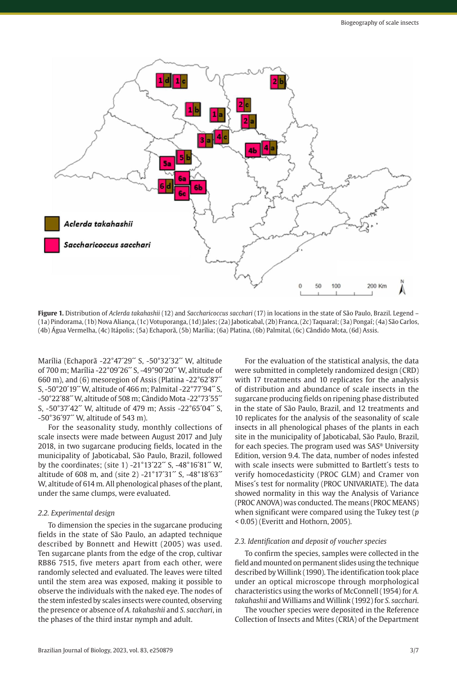

**Figure 1.** Distribution of *Aclerda takahashii* (12) and *Saccharicoccus sacchari* (17) in locations in the state of São Paulo, Brazil. Legend – (1a) Pindorama, (1b) Nova Aliança, (1c) Votuporanga, (1d) Jales; (2a) Jaboticabal, (2b) Franca, (2c) Taquaral; (3a) Pongaí; (4a) São Carlos, (4b) Água Vermelha, (4c) Itápolis; (5a) Echaporã, (5b) Marília; (6a) Platina, (6b) Palmital, (6c) Cândido Mota, (6d) Assis.

Marília (Echaporã -22°47´29´´ S, -50°32´32´´ W, altitude of 700 m; Marília -22°09´26´´ S, -49°90´20´´ W, altitude of 660 m), and (6) mesoregion of Assis (Platina  $-22^{\circ}62^{\prime}87^{\prime\prime}$ S, -50°20´19´´ W, altitude of 466 m; Palmital -22°77´94´´ S, -50°22´88´´ W, altitude of 508 m; Cândido Mota -22°73´55´´ S, -50°37´42´´ W, altitude of 479 m; Assis -22°65´04´´ S,  $-50^{\circ}36'97''$  W, altitude of 543 m).

For the seasonality study, monthly collections of scale insects were made between August 2017 and July 2018, in two sugarcane producing fields, located in the municipality of Jaboticabal, São Paulo, Brazil, followed by the coordinates; (site 1) -21°13´22´´ S, -48°16´81´´ W, altitude of 608 m, and (site 2) -21°17´31´´ S, -48°18´63´´ W, altitude of 614 m. All phenological phases of the plant, under the same clumps, were evaluated.

#### *2.2. Experimental design*

To dimension the species in the sugarcane producing fields in the state of São Paulo, an adapted technique described by Bonnett and Hewitt (2005) was used. Ten sugarcane plants from the edge of the crop, cultivar RB86 7515, five meters apart from each other, were randomly selected and evaluated. The leaves were tilted until the stem area was exposed, making it possible to observe the individuals with the naked eye. The nodes of the stem infested by scales insects were counted, observing the presence or absence of *A. takahashii* and *S. sacchari*, in the phases of the third instar nymph and adult.

For the evaluation of the statistical analysis, the data were submitted in completely randomized design (CRD) with 17 treatments and 10 replicates for the analysis of distribution and abundance of scale insects in the sugarcane producing fields on ripening phase distributed in the state of São Paulo, Brazil, and 12 treatments and 10 replicates for the analysis of the seasonality of scale insects in all phenological phases of the plants in each site in the municipality of Jaboticabal, São Paulo, Brazil, for each species. The program used was SAS® University Edition, version 9.4. The data, number of nodes infested with scale insects were submitted to Bartlett´s tests to verify homocedasticity (PROC GLM) and Cramer von Mises´s test for normality (PROC UNIVARIATE). The data showed normality in this way the Analysis of Variance (PROC ANOVA) was conducted. The means (PROC MEANS) when significant were compared using the Tukey test (*p* < 0.05) (Everitt and Hothorn, 2005).

# *2.3. Identification and deposit of voucher species*

To confirm the species, samples were collected in the field and mounted on permanent slides using the technique described by Willink (1990). The identification took place under an optical microscope through morphological characteristics using the works of McConnell (1954) for *A. takahashii* and Williams and Willink (1992) for *S. sacchari*.

The voucher species were deposited in the Reference Collection of Insects and Mites (CRIA) of the Department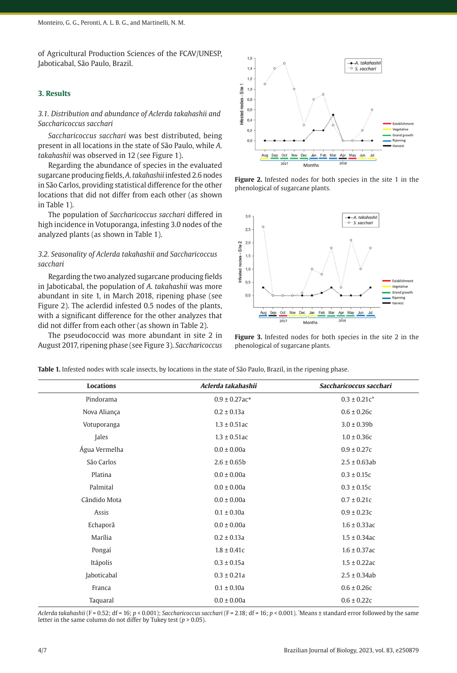of Agricultural Production Sciences of the FCAV/UNESP, Jaboticabal, São Paulo, Brazil.

### **3. Results**

# *3.1. Distribution and abundance of Aclerda takahashii and Saccharicoccus sacchari*

*Saccharicoccus sacchari* was best distributed, being present in all locations in the state of São Paulo, while *A. takahashii* was observed in 12 (see Figure 1).

Regarding the abundance of species in the evaluated sugarcane producing fields, *A*. *takahashii* infested 2.6 nodes in São Carlos, providing statistical difference for the other locations that did not differ from each other (as shown in Table 1).

The population of *Saccharicoccus sacchari* differed in high incidence in Votuporanga, infesting 3.0 nodes of the analyzed plants (as shown in Table 1).

# *3.2. Seasonality of Aclerda takahashii and Saccharicoccus sacchari*

Regarding the two analyzed sugarcane producing fields in Jaboticabal, the population of *A*. *takahashii* was more abundant in site 1, in March 2018, ripening phase (see Figure 2). The aclerdid infested 0.5 nodes of the plants, with a significant difference for the other analyzes that did not differ from each other (as shown in Table 2).

The pseudococcid was more abundant in site 2 in August 2017, ripening phase (see Figure 3). *Saccharicoccus* 



**Figure 2.** Infested nodes for both species in the site 1 in the phenological of sugarcane plants.



**Figure 3.** Infested nodes for both species in the site 2 in the phenological of sugarcane plants.

**Table 1.** Infested nodes with scale insects, by locations in the state of São Paulo, Brazil, in the ripening phase.

| <b>Locations</b> | Aclerda takahashii | Saccharicoccus sacchari |
|------------------|--------------------|-------------------------|
| Pindorama        | $0.9 \pm 0.27$ ac* | $0.3 \pm 0.21c^*$       |
| Nova Aliança     | $0.2 \pm 0.13a$    | $0.6 \pm 0.26c$         |
| Votuporanga      | $1.3 \pm 0.51$ ac  | $3.0 \pm 0.39$ b        |
| Jales            | $1.3 \pm 0.51$ ac  | $1.0 \pm 0.36c$         |
| Água Vermelha    | $0.0 \pm 0.00a$    | $0.9 \pm 0.27c$         |
| São Carlos       | $2.6 \pm 0.65b$    | $2.5 \pm 0.63$ ab       |
| Platina          | $0.0 \pm 0.00a$    | $0.3 \pm 0.15c$         |
| Palmital         | $0.0 \pm 0.00a$    | $0.3 \pm 0.15c$         |
| Cândido Mota     | $0.0 \pm 0.00a$    | $0.7 \pm 0.21c$         |
| Assis            | $0.1 \pm 0.10a$    | $0.9 \pm 0.23c$         |
| Echaporã         | $0.0 \pm 0.00a$    | $1.6 \pm 0.33$ ac       |
| Marília          | $0.2 \pm 0.13a$    | $1.5 \pm 0.34$ ac       |
| Pongaí           | $1.8 \pm 0.41c$    | $1.6 \pm 0.37$ ac       |
| Itápolis         | $0.3 \pm 0.15a$    | $1.5 \pm 0.22$ ac       |
| Jaboticabal      | $0.3 \pm 0.21a$    | $2.5 \pm 0.34$ ab       |
| Franca           | $0.1 \pm 0.10a$    | $0.6 \pm 0.26c$         |
| Taquaral         | $0.0 \pm 0.00a$    | $0.6 \pm 0.22c$         |

*Aclerda takahashii* (F = 0.52; df = 16; *p* < 0.001); *Saccharicoccus sacchari* (F = 2.18; df = 16; *p* < 0.001). \* Means ± standard error followed by the same letter in the same column do not differ by Tukey test (*p* > 0.05).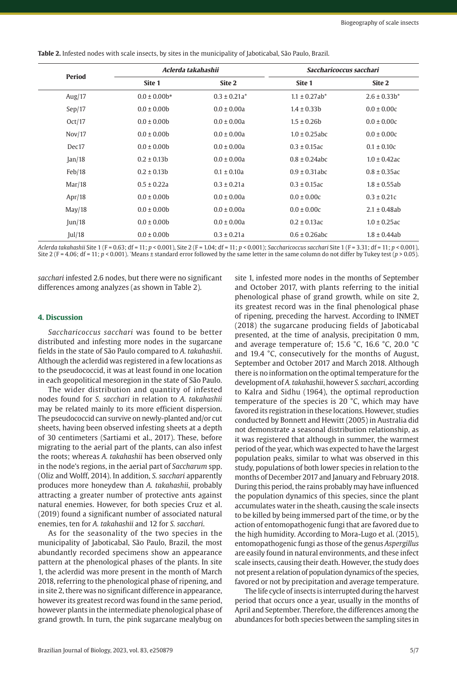| Period          |                   | Aclerda takahashii |                                | Saccharicoccus sacchari |  |
|-----------------|-------------------|--------------------|--------------------------------|-------------------------|--|
|                 | Site 1            | Site 2             | Site 1                         | Site 2                  |  |
| Aug/ $17$       | $0.0 \pm 0.00$ b* | $0.3 \pm 0.21a^*$  | $1.1 \pm 0.27$ ab <sup>*</sup> | $2.6 \pm 0.33b^*$       |  |
| Sep/17          | $0.0 \pm 0.00$    | $0.0 \pm 0.00a$    | $1.4 \pm 0.33b$                | $0.0 \pm 0.00c$         |  |
| Oct/17          | $0.0 \pm 0.00$    | $0.0 \pm 0.00a$    | $1.5 \pm 0.26$ b               | $0.0 \pm 0.00c$         |  |
| Nov/17          | $0.0 \pm 0.00$    | $0.0 \pm 0.00a$    | $1.0 \pm 0.25$ abc             | $0.0 \pm 0.00c$         |  |
| Dec17           | $0.0 \pm 0.00$    | $0.0 \pm 0.00a$    | $0.3 \pm 0.15$ ac              | $0.1 \pm 0.10c$         |  |
| $\tan/18$       | $0.2 \pm 0.13b$   | $0.0 \pm 0.00a$    | $0.8 \pm 0.24$ abc             | $1.0 \pm 0.42$ ac       |  |
| Feb/18          | $0.2 \pm 0.13b$   | $0.1 \pm 0.10a$    | $0.9 \pm 0.31$ abc             | $0.8 \pm 0.35$ ac       |  |
| Mar/18          | $0.5 \pm 0.22a$   | $0.3 \pm 0.21a$    | $0.3 \pm 0.15$ ac              | $1.8 \pm 0.55$ ab       |  |
| Apr/18          | $0.0 \pm 0.00$    | $0.0 \pm 0.00a$    | $0.0 \pm 0.00c$                | $0.3 \pm 0.21c$         |  |
| May/18          | $0.0 \pm 0.00$    | $0.0 \pm 0.00a$    | $0.0 \pm 0.00c$                | $2.1 \pm 0.48$ ab       |  |
| $\text{Jun}/18$ | $0.0 \pm 0.00$    | $0.0 \pm 0.00a$    | $0.2 \pm 0.13$ ac              | $1.0 \pm 0.25$ ac       |  |
| ul/18           | $0.0 \pm 0.00$    | $0.3 \pm 0.21a$    | $0.6 \pm 0.26$ abc             | $1.8 \pm 0.44$ ab       |  |

**Table 2.** Infested nodes with scale insects, by sites in the municipality of Jaboticabal, São Paulo, Brazil.

*Aclerda takahashii* Site 1 (F = 0.63; df = 11; *p* < 0.001), Site 2 (F = 1.04; df = 11; *p* < 0.001); *Saccharicoccus sacchari* Site 1 (F = 3.31; df = 11; *p* < 0.001), Site 2 (F = 4.06; df = 11; *p* < 0.001). \* Means ± standard error followed by the same letter in the same column do not differ by Tukey test (*p* > 0.05).

*sacchari* infested 2.6 nodes, but there were no significant differences among analyzes (as shown in Table 2).

#### **4. Discussion**

*Saccharicoccus sacchari* was found to be better distributed and infesting more nodes in the sugarcane fields in the state of São Paulo compared to *A. takahashii*. Although the aclerdid was registered in a few locations as to the pseudococcid, it was at least found in one location in each geopolitical mesoregion in the state of São Paulo.

The wider distribution and quantity of infested nodes found for *S. sacchari* in relation to *A. takahashii* may be related mainly to its more efficient dispersion. The pseudococcid can survive on newly-planted and/or cut sheets, having been observed infesting sheets at a depth of 30 centimeters (Sartiami et al., 2017). These, before migrating to the aerial part of the plants, can also infest the roots; whereas *A. takahashii* has been observed only in the node's regions, in the aerial part of *Saccharum* spp. (Oliz and Wolff, 2014). In addition, *S. sacchari* apparently produces more honeydew than *A. takahashii*, probably attracting a greater number of protective ants against natural enemies. However, for both species Cruz et al. (2019) found a significant number of associated natural enemies, ten for *A. takahashii* and 12 for *S. sacchari*.

As for the seasonality of the two species in the municipality of Jaboticabal, São Paulo, Brazil, the most abundantly recorded specimens show an appearance pattern at the phenological phases of the plants. In site 1, the aclerdid was more present in the month of March 2018, referring to the phenological phase of ripening, and in site 2, there was no significant difference in appearance, however its greatest record was found in the same period, however plants in the intermediate phenological phase of grand growth. In turn, the pink sugarcane mealybug on

site 1, infested more nodes in the months of September and October 2017, with plants referring to the initial phenological phase of grand growth, while on site 2, its greatest record was in the final phenological phase of ripening, preceding the harvest. According to INMET (2018) the sugarcane producing fields of Jaboticabal presented, at the time of analysis, precipitation 0 mm, and average temperature of; 15.6 °C, 16.6 °C, 20.0 °C and 19.4 °C, consecutively for the months of August, September and October 2017 and March 2018. Although there is no information on the optimal temperature for the development of *A. takahashii*, however *S. sacchari*, according to Kalra and Sidhu (1964), the optimal reproduction temperature of the species is 20 °C, which may have favored its registration in these locations. However, studies conducted by Bonnett and Hewitt (2005) in Australia did not demonstrate a seasonal distribution relationship, as it was registered that although in summer, the warmest period of the year, which was expected to have the largest population peaks, similar to what was observed in this study, populations of both lower species in relation to the months of December 2017 and January and February 2018. During this period, the rains probably may have influenced the population dynamics of this species, since the plant accumulates water in the sheath, causing the scale insects to be killed by being immersed part of the time, or by the action of entomopathogenic fungi that are favored due to the high humidity. According to Mora-Lugo et al. (2015), entomopathogenic fungi as those of the genus *Aspergillus* are easily found in natural environments, and these infect scale insects, causing their death. However, the study does not present a relation of population dynamics of the species, favored or not by precipitation and average temperature.

The life cycle of insects is interrupted during the harvest period that occurs once a year, usually in the months of April and September. Therefore, the differences among the abundances for both species between the sampling sites in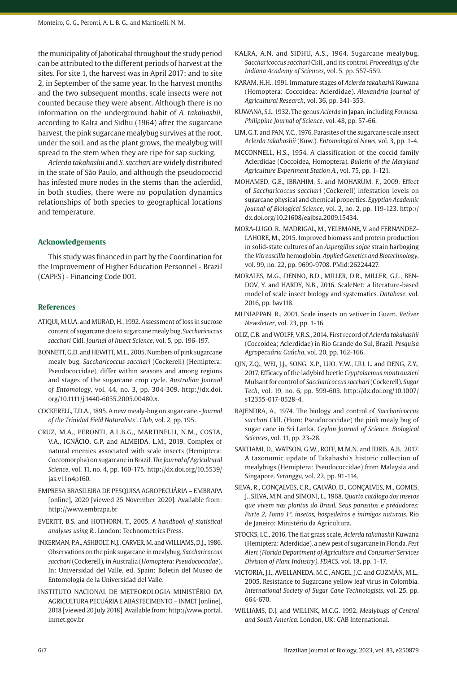the municipality of Jaboticabal throughout the study period can be attributed to the different periods of harvest at the sites. For site 1, the harvest was in April 2017; and to site 2, in September of the same year. In the harvest months and the two subsequent months, scale insects were not counted because they were absent. Although there is no information on the underground habit of *A. takahashii*, according to Kalra and Sidhu (1964) after the sugarcane harvest, the pink sugarcane mealybug survives at the root, under the soil, and as the plant grows, the mealybug will spread to the stem when they are ripe for sap sucking.

*Aclerda takahashii* and *S. sacchari* are widely distributed in the state of São Paulo, and although the pseudococcid has infested more nodes in the stems than the aclerdid, in both studies, there were no population dynamics relationships of both species to geographical locations and temperature.

#### **Acknowledgements**

This study was financed in part by the Coordination for the Improvement of Higher Education Personnel - Brazil (CAPES) - Financing Code 001.

#### **References**

- ATIQUI, M.U.A. and MURAD, H., 1992. Assessment of loss in sucrose content of sugarcane due to sugarcane mealy bug, *Saccharicoccus sacchari* Ckll. *Journal of Insect Science*, vol. 5, pp. 196-197.
- BONNETT, G.D. and HEWITT, M.L., 2005. Numbers of pink sugarcane mealy bug, *Saccharicoccus sacchari* (Cockerell) (Hemiptera: Pseudococcidae), differ within seasons and among regions and stages of the sugarcane crop cycle. *Australian Journal of Entomology*, vol. 44, no. 3, pp. 304-309. [http://dx.doi.](https://doi.org/10.1111/j.1440-6055.2005.00480.x) [org/10.1111/j.1440-6055.2005.00480.x](https://doi.org/10.1111/j.1440-6055.2005.00480.x).
- COCKERELL, T.D.A., 1895. A new mealy-bug on sugar cane.- *Journal of the Trinidad Field Naturalists'*. *Club*, vol. 2, pp. 195.
- CRUZ, M.A., PERONTI, A.L.B.G., MARTINELLI, N.M., COSTA, V.A., IGNÁCIO, G.P. and ALMEIDA, L.M., 2019. Complex of natural enemies associated with scale insects (Hemiptera: Coccomorpha) on sugarcane in Brazil. *The Journal of Agricultural Science*, vol. 11, no. 4, pp. 160-175. [http://dx.doi.org/10.5539/](https://doi.org/10.5539/jas.v11n4p160) [jas.v11n4p160.](https://doi.org/10.5539/jas.v11n4p160)
- EMPRESA BRASILEIRA DE PESQUISA AGROPECUÁRIA EMBRAPA [online], 2020 [viewed 25 November 2020]. Available from: http://www.embrapa.br
- EVERITT, B.S. and HOTHORN, T., 2005. *A handbook of statistical analyses using R.*. London: Technometrics Press.
- INKERMAN, P.A., ASHBOLT, N.J., CARVER, M. and WILLIAMS, D.J., 1986. Observations on the pink sugarcane in mealybug, *Saccharicoccus sacchari* (Cockerell), in Australia (*Homoptera: Pseudococcidae*). In: Universidad del Valle, ed. Spain: Boletin del Museo de Entomologia de la Universidad del Valle.
- INSTITUTO NACIONAL DE METEOROLOGIA MINISTÉRIO DA AGRICULTURA PECUÁRIA E ABASTECIMENTO – INMET [online], 2018 [viewed 20 July 2018]. Available from: http://www.portal. inmet.gov.br
- KALRA, A.N. and SIDHU, A.S., 1964. Sugarcane mealybug, *Saccharicoccus sacchari* Ckll., and its control. *Proceedings of the Indiana Academy of Sciences*, vol. 5, pp. 557-559.
- KARAM, H.H., 1991. Immature stages of *Aclerda takahashii* Kuwana (Homoptera: Coccoidea: Aclerdidae). *Alexandria Journal of Agricultural Research*, vol. 36, pp. 341-353.
- KUWANA, S.I., 1932. The genus *Aclerda* in Japan, including *Formosa. Philippine Journal of Science*, vol. 48, pp. 57-66.
- LIM, G.T. and PAN, Y.C., 1976. Parasites of the sugarcane scale insect *Aclerda takahashii* (Kuw.). *Entomological News*, vol. 3, pp. 1-4.
- MCCONNELL, H.S., 1954. A classification of the coccid family Aclerdidae (Coccoidea, Homoptera). *Bulletin of the Maryland Agriculture Experiment Station A.*, vol. 75, pp. 1-121.
- MOHAMED, G.E., IBRAHIM, S. and MOHARUM, F., 2009. Effect of *Saccharicoccus sacchari* (Cockerell) infestation levels on sugarcane physical and chemical properties. *Egyptian Academic Journal of Biological Science*, vol. 2, no. 2, pp. 119-123. [http://](https://doi.org/10.21608/eajbsa.2009.15434) [dx.doi.org/10.21608/eajbsa.2009.15434](https://doi.org/10.21608/eajbsa.2009.15434).
- MORA-LUGO, R., MADRIGAL, M., YELEMANE, V. and FERNANDEZ-LAHORE, M., 2015. Improved biomass and protein production in solid-state cultures of an *Aspergillus sojae* strain harboging the *Vitreoscilla* hemoglobin. *Applied Genetics and Biotechnology*, vol. 99, no. 22, pp. 9699-9708. [PMid:26224427.](https://www.ncbi.nlm.nih.gov/entrez/query.fcgi?cmd=Retrieve&db=PubMed&list_uids=26224427&dopt=Abstract)
- MORALES, M.G., DENNO, B.D., MILLER, D.R., MILLER, G.L., BEN-DOV, Y. and HARDY, N.B., 2016. ScaleNet: a literature-based model of scale insect biology and systematics*. Database*, vol. 2016, pp. bav118.
- MUNIAPPAN, R., 2001. Scale insects on vetiver in Guam. *Vetiver Newsletter*, vol. 23, pp. 1-16.
- OLIZ, C.B. and WOLFF, V.R.S., 2014. First record of *Aclerda takahashii* (Coccoidea; Aclerdidae) in Rio Grande do Sul, Brazil. *Pesquisa Agropecuária Gaúcha*, vol. 20, pp. 162-166.
- QIN, Z.Q., WEI, J.J., SONG, X.P., LUO, Y.W., LIU, L. and DENG, Z.Y., 2017. Efficacy of the ladybird beetle *Cryptolaemus montrouzieri* Mulsant for control of *Saccharicoccus sacchari* (Cockerell). *Sugar Tech*, vol. 19, no. 6, pp. 599-603. [http://dx.doi.org/10.1007/](https://doi.org/10.1007/s12355-017-0528-4) [s12355-017-0528-4.](https://doi.org/10.1007/s12355-017-0528-4)
- RAJENDRA, A., 1974. The biology and control of *Saccharicoccus sacchari* Ckll. (Hom: Pseudococcidae) the pink mealy bug of sugar cane in Sri Lanka. *Ceylon Journal of Science. Biological Sciences*, vol. 11, pp. 23-28.
- SARTIAMI, D., WATSON, G.W., ROFF, M.M.N. and IDRIS, A.B., 2017. A taxonomic update of Takahashi's historic collection of mealybugs (Hemiptera: Pseudococcidae) from Malaysia and Singapore. *Serangga*, vol. 22, pp. 91-114.
- SILVA, R., GONÇALVES, C.R., GALVÃO, D., GONÇALVES, M., GOMES, J., SILVA, M.N. and SIMONI, L., 1968. *Quarto catálogo dos insetos que vivem nas plantas do Brasil. Seus parasitos e predadores: Parte 2, Tomo 1º, insetos, hospedeiros e inimigos naturais.* Rio de Janeiro: Ministério da Agricultura.
- STOCKS, I.C., 2016. The flat grass scale, *Aclerda takahashii* Kuwana (Hemiptera: Aclerdidae), a new pest of sugarcane in Florida. *Pest Alert (Florida Department of Agriculture and Consumer Services Division of Plant Industry)*. *FDACS*, vol. 18, pp. 1-17.
- VICTORIA, J.I., AVELLANEDA, M.C., ANGEL, J.C. and GUZMÁN, M.L., 2005. Resistance to Sugarcane yellow leaf virus in Colombia. *International Society of Sugar Cane Technologists*, vol. 25, pp. 664-670.
- WILLIAMS, D.J. and WILLINK, M.C.G. 1992. *Mealybugs of Central and South America*. London, UK: CAB International.